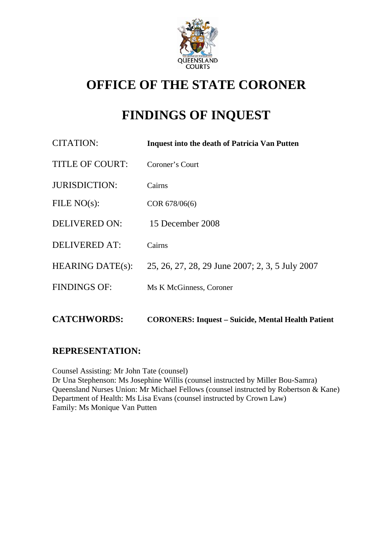

# **OFFICE OF THE STATE CORONER**

# **FINDINGS OF INQUEST**

| CITATION:               | <b>Inquest into the death of Patricia Van Putten</b> |
|-------------------------|------------------------------------------------------|
| <b>TITLE OF COURT:</b>  | Coroner's Court                                      |
| <b>JURISDICTION:</b>    | Cairns                                               |
| FILE $NO(s)$ :          | COR 678/06(6)                                        |
| <b>DELIVERED ON:</b>    | 15 December 2008                                     |
| <b>DELIVERED AT:</b>    | Cairns                                               |
| <b>HEARING DATE(s):</b> | 25, 26, 27, 28, 29 June 2007; 2, 3, 5 July 2007      |
| <b>FINDINGS OF:</b>     | Ms K McGinness, Coroner                              |
|                         |                                                      |

# **REPRESENTATION:**

Counsel Assisting: Mr John Tate (counsel) Dr Una Stephenson: Ms Josephine Willis (counsel instructed by Miller Bou-Samra) Queensland Nurses Union: Mr Michael Fellows (counsel instructed by Robertson & Kane) Department of Health: Ms Lisa Evans (counsel instructed by Crown Law) Family: Ms Monique Van Putten

**CATCHWORDS: CORONERS: Inquest – Suicide, Mental Health Patient**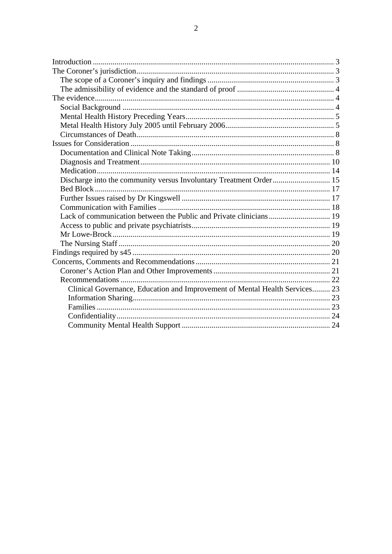| Discharge into the community versus Involuntary Treatment Order 15          |  |
|-----------------------------------------------------------------------------|--|
|                                                                             |  |
|                                                                             |  |
|                                                                             |  |
|                                                                             |  |
|                                                                             |  |
|                                                                             |  |
|                                                                             |  |
|                                                                             |  |
|                                                                             |  |
|                                                                             |  |
|                                                                             |  |
| Clinical Governance, Education and Improvement of Mental Health Services 23 |  |
|                                                                             |  |
|                                                                             |  |
|                                                                             |  |
|                                                                             |  |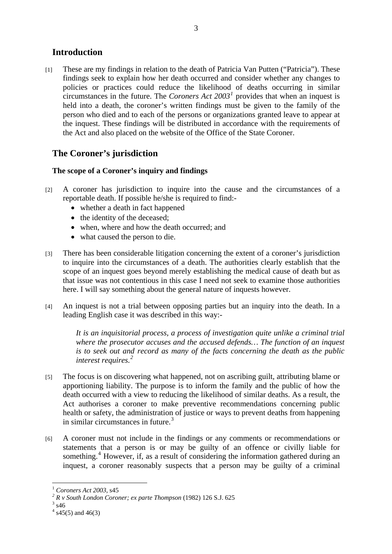## <span id="page-2-0"></span>**Introduction**

[1] These are my findings in relation to the death of Patricia Van Putten ("Patricia"). These findings seek to explain how her death occurred and consider whether any changes to policies or practices could reduce the likelihood of deaths occurring in similar circumstances in the future. The *Coroners Act 2003[1](#page-2-1)* provides that when an inquest is held into a death, the coroner's written findings must be given to the family of the person who died and to each of the persons or organizations granted leave to appear at the inquest. These findings will be distributed in accordance with the requirements of the Act and also placed on the website of the Office of the State Coroner.

# **The Coroner's jurisdiction**

## **The scope of a Coroner's inquiry and findings**

- [2] A coroner has jurisdiction to inquire into the cause and the circumstances of a reportable death. If possible he/she is required to find:-
	- whether a death in fact happened
	- the identity of the deceased;
	- when, where and how the death occurred; and
	- what caused the person to die.
- [3] There has been considerable litigation concerning the extent of a coroner's jurisdiction to inquire into the circumstances of a death. The authorities clearly establish that the scope of an inquest goes beyond merely establishing the medical cause of death but as that issue was not contentious in this case I need not seek to examine those authorities here. I will say something about the general nature of inquests however.
- [4] An inquest is not a trial between opposing parties but an inquiry into the death. In a leading English case it was described in this way:-

*It is an inquisitorial process, a process of investigation quite unlike a criminal trial where the prosecutor accuses and the accused defends… The function of an inquest is to seek out and record as many of the facts concerning the death as the public interest requires.[2](#page-2-2)*

- [5] The focus is on discovering what happened, not on ascribing guilt, attributing blame or apportioning liability. The purpose is to inform the family and the public of how the death occurred with a view to reducing the likelihood of similar deaths. As a result, the Act authorises a coroner to make preventive recommendations concerning public health or safety, the administration of justice or ways to prevent deaths from happening in similar circumstances in future. $3$
- [6] A coroner must not include in the findings or any comments or recommendations or statements that a person is or may be guilty of an offence or civilly liable for something.<sup>[4](#page-2-4)</sup> However, if, as a result of considering the information gathered during an inquest, a coroner reasonably suspects that a person may be guilty of a criminal

 $\overline{a}$ <sup>1</sup> *Coroners Act 2003*, s45 *<sup>2</sup>*

<span id="page-2-1"></span><sup>&</sup>lt;sup>2</sup> R v South London Coroner; ex parte Thompson (1982) 126 S.J. 625

<span id="page-2-4"></span><span id="page-2-3"></span><span id="page-2-2"></span> $3$  s46

 $4$  s45(5) and 46(3)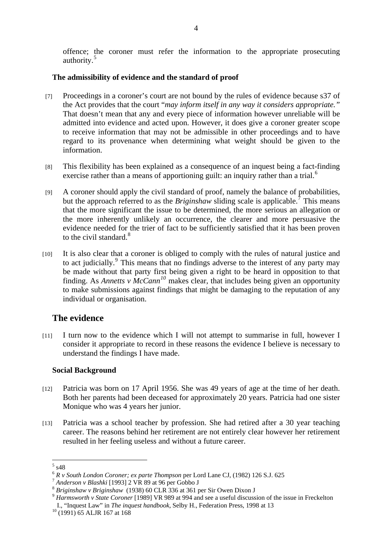<span id="page-3-0"></span>offence; the coroner must refer the information to the appropriate prosecuting authority.<sup>[5](#page-3-1)</sup>

#### **The admissibility of evidence and the standard of proof**

- [7] Proceedings in a coroner's court are not bound by the rules of evidence because s37 of the Act provides that the court "*may inform itself in any way it considers appropriate."*  That doesn't mean that any and every piece of information however unreliable will be admitted into evidence and acted upon. However, it does give a coroner greater scope to receive information that may not be admissible in other proceedings and to have regard to its provenance when determining what weight should be given to the information.
- [8] This flexibility has been explained as a consequence of an inquest being a fact-finding exercise rather than a means of apportioning guilt: an inquiry rather than a trial.<sup>[6](#page-3-2)</sup>
- [9] A coroner should apply the civil standard of proof, namely the balance of probabilities, but the approach referred to as the *Briginshaw* sliding scale is applicable.<sup>[7](#page-3-3)</sup> This means that the more significant the issue to be determined, the more serious an allegation or the more inherently unlikely an occurrence, the clearer and more persuasive the evidence needed for the trier of fact to be sufficiently satisfied that it has been proven to the civil standard.<sup>[8](#page-3-4)</sup>
- [10] It is also clear that a coroner is obliged to comply with the rules of natural justice and to act judicially.<sup>[9](#page-3-5)</sup> This means that no findings adverse to the interest of any party may be made without that party first being given a right to be heard in opposition to that finding. As *Annetts v McCann[10](#page-3-6)* makes clear, that includes being given an opportunity to make submissions against findings that might be damaging to the reputation of any individual or organisation.

## **The evidence**

[11] I turn now to the evidence which I will not attempt to summarise in full, however I consider it appropriate to record in these reasons the evidence I believe is necessary to understand the findings I have made.

#### **Social Background**

- [12] Patricia was born on 17 April 1956. She was 49 years of age at the time of her death. Both her parents had been deceased for approximately 20 years. Patricia had one sister Monique who was 4 years her junior.
- [13] Patricia was a school teacher by profession. She had retired after a 30 year teaching career. The reasons behind her retirement are not entirely clear however her retirement resulted in her feeling useless and without a future career.

 $5 \frac{}{}$  s48

<span id="page-3-3"></span>

<span id="page-3-5"></span><span id="page-3-4"></span>

<span id="page-3-2"></span><span id="page-3-1"></span><sup>&</sup>lt;sup>6</sup> R v South London Coroner; ex parte Thompson per Lord Lane CJ, (1982) 126 S.J. 625<br>
<sup>7</sup> Anderson v Blashki [1993] 2 VR 89 at 96 per Gobbo J<br>
<sup>8</sup> Briginshaw v Briginshaw (1938) 60 CLR 336 at 361 per Sir Owen Dixon J<br>
<sup>9</sup> I., "Inquest Law" in *The inquest handbook,* Selby H., Federation Press, 1998 at 13 10 (1991) 65 ALJR 167 at 168

<span id="page-3-6"></span>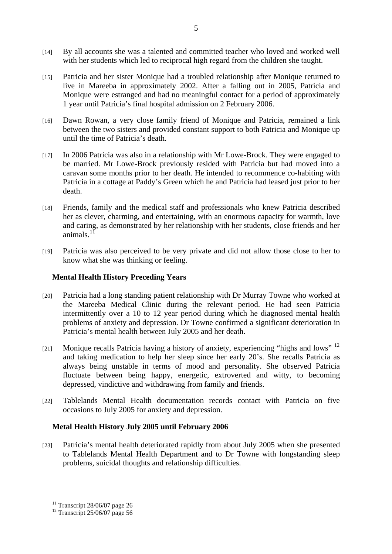- <span id="page-4-0"></span>[14] By all accounts she was a talented and committed teacher who loved and worked well with her students which led to reciprocal high regard from the children she taught.
- [15] Patricia and her sister Monique had a troubled relationship after Monique returned to live in Mareeba in approximately 2002. After a falling out in 2005, Patricia and Monique were estranged and had no meaningful contact for a period of approximately 1 year until Patricia's final hospital admission on 2 February 2006.
- [16] Dawn Rowan, a very close family friend of Monique and Patricia, remained a link between the two sisters and provided constant support to both Patricia and Monique up until the time of Patricia's death.
- [17] In 2006 Patricia was also in a relationship with Mr Lowe-Brock. They were engaged to be married. Mr Lowe-Brock previously resided with Patricia but had moved into a caravan some months prior to her death. He intended to recommence co-habiting with Patricia in a cottage at Paddy's Green which he and Patricia had leased just prior to her death.
- [18] Friends, family and the medical staff and professionals who knew Patricia described her as clever, charming, and entertaining, with an enormous capacity for warmth, love and caring, as demonstrated by her relationship with her students, close friends and her animals<sup>[11](#page-4-1)</sup>
- [19] Patricia was also perceived to be very private and did not allow those close to her to know what she was thinking or feeling.

#### **Mental Health History Preceding Years**

- [20] Patricia had a long standing patient relationship with Dr Murray Towne who worked at the Mareeba Medical Clinic during the relevant period. He had seen Patricia intermittently over a 10 to 12 year period during which he diagnosed mental health problems of anxiety and depression. Dr Towne confirmed a significant deterioration in Patricia's mental health between July 2005 and her death.
- [21] Monique recalls Patricia having a history of anxiety, experiencing "highs and lows"  $^{12}$  $^{12}$  $^{12}$ and taking medication to help her sleep since her early 20's. She recalls Patricia as always being unstable in terms of mood and personality. She observed Patricia fluctuate between being happy, energetic, extroverted and witty, to becoming depressed, vindictive and withdrawing from family and friends.
- [22] Tablelands Mental Health documentation records contact with Patricia on five occasions to July 2005 for anxiety and depression.

#### **Metal Health History July 2005 until February 2006**

[23] Patricia's mental health deteriorated rapidly from about July 2005 when she presented to Tablelands Mental Health Department and to Dr Towne with longstanding sleep problems, suicidal thoughts and relationship difficulties.

<span id="page-4-1"></span> $11$  Transcript 28/06/07 page 26

<span id="page-4-2"></span> $12$  Transcript 25/06/07 page 56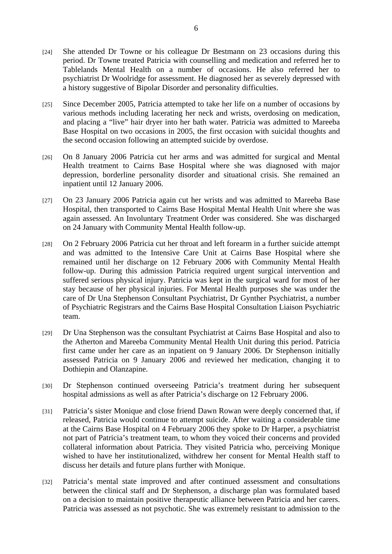- [24] She attended Dr Towne or his colleague Dr Bestmann on 23 occasions during this period. Dr Towne treated Patricia with counselling and medication and referred her to Tablelands Mental Health on a number of occasions. He also referred her to psychiatrist Dr Woolridge for assessment. He diagnosed her as severely depressed with a history suggestive of Bipolar Disorder and personality difficulties.
- [25] Since December 2005, Patricia attempted to take her life on a number of occasions by various methods including lacerating her neck and wrists, overdosing on medication, and placing a "live" hair dryer into her bath water. Patricia was admitted to Mareeba Base Hospital on two occasions in 2005, the first occasion with suicidal thoughts and the second occasion following an attempted suicide by overdose.
- [26] On 8 January 2006 Patricia cut her arms and was admitted for surgical and Mental Health treatment to Cairns Base Hospital where she was diagnosed with major depression, borderline personality disorder and situational crisis. She remained an inpatient until 12 January 2006.
- [27] On 23 January 2006 Patricia again cut her wrists and was admitted to Mareeba Base Hospital, then transported to Cairns Base Hospital Mental Health Unit where she was again assessed. An Involuntary Treatment Order was considered. She was discharged on 24 January with Community Mental Health follow-up.
- [28] On 2 February 2006 Patricia cut her throat and left forearm in a further suicide attempt and was admitted to the Intensive Care Unit at Cairns Base Hospital where she remained until her discharge on 12 February 2006 with Community Mental Health follow-up. During this admission Patricia required urgent surgical intervention and suffered serious physical injury. Patricia was kept in the surgical ward for most of her stay because of her physical injuries. For Mental Health purposes she was under the care of Dr Una Stephenson Consultant Psychiatrist, Dr Gynther Psychiatrist, a number of Psychiatric Registrars and the Cairns Base Hospital Consultation Liaison Psychiatric team.
- [29] Dr Una Stephenson was the consultant Psychiatrist at Cairns Base Hospital and also to the Atherton and Mareeba Community Mental Health Unit during this period. Patricia first came under her care as an inpatient on 9 January 2006. Dr Stephenson initially assessed Patricia on 9 January 2006 and reviewed her medication, changing it to Dothiepin and Olanzapine.
- [30] Dr Stephenson continued overseeing Patricia's treatment during her subsequent hospital admissions as well as after Patricia's discharge on 12 February 2006.
- [31] Patricia's sister Monique and close friend Dawn Rowan were deeply concerned that, if released, Patricia would continue to attempt suicide. After waiting a considerable time at the Cairns Base Hospital on 4 February 2006 they spoke to Dr Harper, a psychiatrist not part of Patricia's treatment team, to whom they voiced their concerns and provided collateral information about Patricia. They visited Patricia who, perceiving Monique wished to have her institutionalized, withdrew her consent for Mental Health staff to discuss her details and future plans further with Monique.
- [32] Patricia's mental state improved and after continued assessment and consultations between the clinical staff and Dr Stephenson, a discharge plan was formulated based on a decision to maintain positive therapeutic alliance between Patricia and her carers. Patricia was assessed as not psychotic. She was extremely resistant to admission to the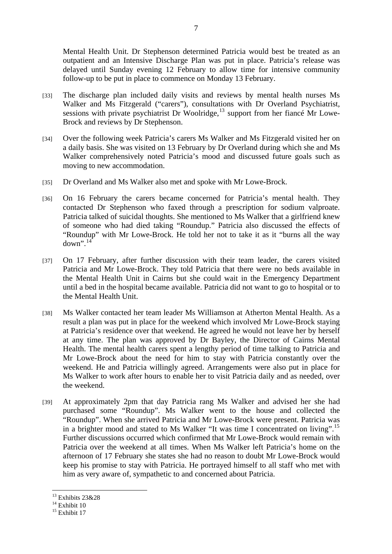Mental Health Unit. Dr Stephenson determined Patricia would best be treated as an outpatient and an Intensive Discharge Plan was put in place. Patricia's release was delayed until Sunday evening 12 February to allow time for intensive community follow-up to be put in place to commence on Monday 13 February.

- [33] The discharge plan included daily visits and reviews by mental health nurses Ms Walker and Ms Fitzgerald ("carers"), consultations with Dr Overland Psychiatrist, sessions with private psychiatrist Dr Woolridge, $^{13}$  $^{13}$  $^{13}$  support from her fiance Mr Lowe-Brock and reviews by Dr Stephenson.
- [34] Over the following week Patricia's carers Ms Walker and Ms Fitzgerald visited her on a daily basis. She was visited on 13 February by Dr Overland during which she and Ms Walker comprehensively noted Patricia's mood and discussed future goals such as moving to new accommodation.
- [35] Dr Overland and Ms Walker also met and spoke with Mr Lowe-Brock.
- [36] On 16 February the carers became concerned for Patricia's mental health. They contacted Dr Stephenson who faxed through a prescription for sodium valproate. Patricia talked of suicidal thoughts. She mentioned to Ms Walker that a girlfriend knew of someone who had died taking "Roundup." Patricia also discussed the effects of "Roundup" with Mr Lowe-Brock. He told her not to take it as it "burns all the way  $down$ ".<sup>[14](#page-6-1)</sup>
- [37] On 17 February, after further discussion with their team leader, the carers visited Patricia and Mr Lowe-Brock. They told Patricia that there were no beds available in the Mental Health Unit in Cairns but she could wait in the Emergency Department until a bed in the hospital became available. Patricia did not want to go to hospital or to the Mental Health Unit.
- [38] Ms Walker contacted her team leader Ms Williamson at Atherton Mental Health. As a result a plan was put in place for the weekend which involved Mr Lowe-Brock staying at Patricia's residence over that weekend. He agreed he would not leave her by herself at any time. The plan was approved by Dr Bayley, the Director of Cairns Mental Health. The mental health carers spent a lengthy period of time talking to Patricia and Mr Lowe-Brock about the need for him to stay with Patricia constantly over the weekend. He and Patricia willingly agreed. Arrangements were also put in place for Ms Walker to work after hours to enable her to visit Patricia daily and as needed, over the weekend.
- [39] At approximately 2pm that day Patricia rang Ms Walker and advised her she had purchased some "Roundup". Ms Walker went to the house and collected the "Roundup". When she arrived Patricia and Mr Lowe-Brock were present. Patricia was in a brighter mood and stated to Ms Walker "It was time I concentrated on living".[15](#page-6-2) Further discussions occurred which confirmed that Mr Lowe-Brock would remain with Patricia over the weekend at all times. When Ms Walker left Patricia's home on the afternoon of 17 February she states she had no reason to doubt Mr Lowe-Brock would keep his promise to stay with Patricia. He portrayed himself to all staff who met with him as very aware of, sympathetic to and concerned about Patricia.

 $\overline{a}$ <sup>13</sup> Exhibits 23&28

<span id="page-6-1"></span><span id="page-6-0"></span> $14$  Exhibit 10

<span id="page-6-2"></span> $15$  Exhibit 17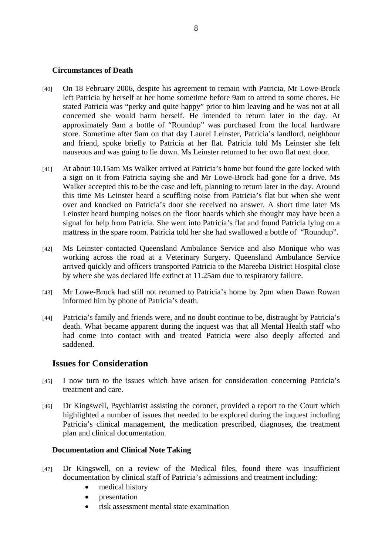#### <span id="page-7-0"></span>**Circumstances of Death**

- [40] On 18 February 2006, despite his agreement to remain with Patricia, Mr Lowe-Brock left Patricia by herself at her home sometime before 9am to attend to some chores. He stated Patricia was "perky and quite happy" prior to him leaving and he was not at all concerned she would harm herself. He intended to return later in the day. At approximately 9am a bottle of "Roundup" was purchased from the local hardware store. Sometime after 9am on that day Laurel Leinster, Patricia's landlord, neighbour and friend, spoke briefly to Patricia at her flat. Patricia told Ms Leinster she felt nauseous and was going to lie down. Ms Leinster returned to her own flat next door.
- [41] At about 10.15am Ms Walker arrived at Patricia's home but found the gate locked with a sign on it from Patricia saying she and Mr Lowe-Brock had gone for a drive. Ms Walker accepted this to be the case and left, planning to return later in the day. Around this time Ms Leinster heard a scuffling noise from Patricia's flat but when she went over and knocked on Patricia's door she received no answer. A short time later Ms Leinster heard bumping noises on the floor boards which she thought may have been a signal for help from Patricia. She went into Patricia's flat and found Patricia lying on a mattress in the spare room. Patricia told her she had swallowed a bottle of "Roundup".
- [42] Ms Leinster contacted Queensland Ambulance Service and also Monique who was working across the road at a Veterinary Surgery. Queensland Ambulance Service arrived quickly and officers transported Patricia to the Mareeba District Hospital close by where she was declared life extinct at 11.25am due to respiratory failure.
- [43] Mr Lowe-Brock had still not returned to Patricia's home by 2pm when Dawn Rowan informed him by phone of Patricia's death.
- [44] Patricia's family and friends were, and no doubt continue to be, distraught by Patricia's death. What became apparent during the inquest was that all Mental Health staff who had come into contact with and treated Patricia were also deeply affected and saddened.

## **Issues for Consideration**

- [45] I now turn to the issues which have arisen for consideration concerning Patricia's treatment and care.
- [46] Dr Kingswell, Psychiatrist assisting the coroner, provided a report to the Court which highlighted a number of issues that needed to be explored during the inquest including Patricia's clinical management, the medication prescribed, diagnoses, the treatment plan and clinical documentation.

#### **Documentation and Clinical Note Taking**

- [47] Dr Kingswell, on a review of the Medical files, found there was insufficient documentation by clinical staff of Patricia's admissions and treatment including:
	- medical history
	- presentation
	- risk assessment mental state examination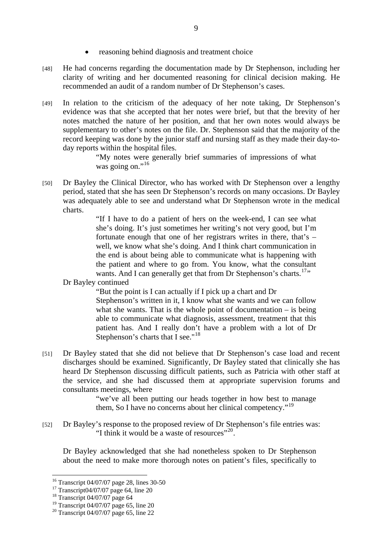- reasoning behind diagnosis and treatment choice
- [48] He had concerns regarding the documentation made by Dr Stephenson, including her clarity of writing and her documented reasoning for clinical decision making. He recommended an audit of a random number of Dr Stephenson's cases.
- [49] In relation to the criticism of the adequacy of her note taking, Dr Stephenson's evidence was that she accepted that her notes were brief, but that the brevity of her notes matched the nature of her position, and that her own notes would always be supplementary to other's notes on the file. Dr. Stephenson said that the majority of the record keeping was done by the junior staff and nursing staff as they made their day-today reports within the hospital files.

"My notes were generally brief summaries of impressions of what was going on."<sup>[16](#page-8-0)</sup>

[50] Dr Bayley the Clinical Director, who has worked with Dr Stephenson over a lengthy period, stated that she has seen Dr Stephenson's records on many occasions. Dr Bayley was adequately able to see and understand what Dr Stephenson wrote in the medical charts.

> "If I have to do a patient of hers on the week-end, I can see what she's doing. It's just sometimes her writing's not very good, but I'm fortunate enough that one of her registrars writes in there, that's – well, we know what she's doing. And I think chart communication in the end is about being able to communicate what is happening with the patient and where to go from. You know, what the consultant wants. And I can generally get that from Dr Stephenson's charts.<sup>[17](#page-8-1)</sup>"

Dr Bayley continued

"But the point is I can actually if I pick up a chart and Dr Stephenson's written in it, I know what she wants and we can follow what she wants. That is the whole point of documentation  $-$  is being able to communicate what diagnosis, assessment, treatment that this patient has. And I really don't have a problem with a lot of Dr Stephenson's charts that I see."<sup>[18](#page-8-2)</sup>

[51] Dr Bayley stated that she did not believe that Dr Stephenson's case load and recent discharges should be examined. Significantly, Dr Bayley stated that clinically she has heard Dr Stephenson discussing difficult patients, such as Patricia with other staff at the service, and she had discussed them at appropriate supervision forums and consultants meetings, where

> "we've all been putting our heads together in how best to manage them, So I have no concerns about her clinical competency."[19](#page-8-3)

[52] Dr Bayley's response to the proposed review of Dr Stephenson's file entries was: "I think it would be a waste of resources"<sup>[20](#page-8-4)</sup>.

Dr Bayley acknowledged that she had nonetheless spoken to Dr Stephenson about the need to make more thorough notes on patient's files, specifically to

<sup>16</sup> Transcript 04/07/07 page 28, lines 30-50

<span id="page-8-1"></span><span id="page-8-0"></span><sup>17</sup> Transcript04/07/07 page 64, line 20

<span id="page-8-2"></span><sup>18</sup> Transcript 04/07/07 page 64

<span id="page-8-3"></span><sup>&</sup>lt;sup>19</sup> Transcript 04/07/07 page 65, line 20

<span id="page-8-4"></span><sup>&</sup>lt;sup>20</sup> Transcript 04/07/07 page 65, line 22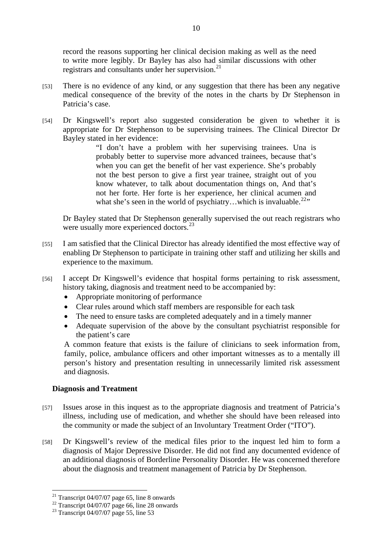<span id="page-9-0"></span>record the reasons supporting her clinical decision making as well as the need to write more legibly. Dr Bayley has also had similar discussions with other registrars and consultants under her supervision. $^{21}$  $^{21}$  $^{21}$ 

- [53] There is no evidence of any kind, or any suggestion that there has been any negative medical consequence of the brevity of the notes in the charts by Dr Stephenson in Patricia's case.
- [54] Dr Kingswell's report also suggested consideration be given to whether it is appropriate for Dr Stephenson to be supervising trainees. The Clinical Director Dr Bayley stated in her evidence:

"I don't have a problem with her supervising trainees. Una is probably better to supervise more advanced trainees, because that's when you can get the benefit of her vast experience. She's probably not the best person to give a first year trainee, straight out of you know whatever, to talk about documentation things on, And that's not her forte. Her forte is her experience, her clinical acumen and what she's seen in the world of psychiatry...which is invaluable.<sup>[22](#page-9-2)</sup>"

Dr Bayley stated that Dr Stephenson generally supervised the out reach registrars who were usually more experienced doctors.<sup>[23](#page-9-3)</sup>

- [55] I am satisfied that the Clinical Director has already identified the most effective way of enabling Dr Stephenson to participate in training other staff and utilizing her skills and experience to the maximum.
- [56] I accept Dr Kingswell's evidence that hospital forms pertaining to risk assessment, history taking, diagnosis and treatment need to be accompanied by:
	- Appropriate monitoring of performance
	- Clear rules around which staff members are responsible for each task
	- The need to ensure tasks are completed adequately and in a timely manner
	- Adequate supervision of the above by the consultant psychiatrist responsible for the patient's care

A common feature that exists is the failure of clinicians to seek information from, family, police, ambulance officers and other important witnesses as to a mentally ill person's history and presentation resulting in unnecessarily limited risk assessment and diagnosis.

#### **Diagnosis and Treatment**

- [57] Issues arose in this inquest as to the appropriate diagnosis and treatment of Patricia's illness, including use of medication, and whether she should have been released into the community or made the subject of an Involuntary Treatment Order ("ITO").
- [58] Dr Kingswell's review of the medical files prior to the inquest led him to form a diagnosis of Major Depressive Disorder. He did not find any documented evidence of an additional diagnosis of Borderline Personality Disorder. He was concerned therefore about the diagnosis and treatment management of Patricia by Dr Stephenson.

<span id="page-9-1"></span> $21$  Transcript 04/07/07 page 65, line 8 onwards

<span id="page-9-2"></span> $22$  Transcript 04/07/07 page 66, line 28 onwards

<span id="page-9-3"></span><sup>&</sup>lt;sup>23</sup> Transcript 04/07/07 page 55, line 53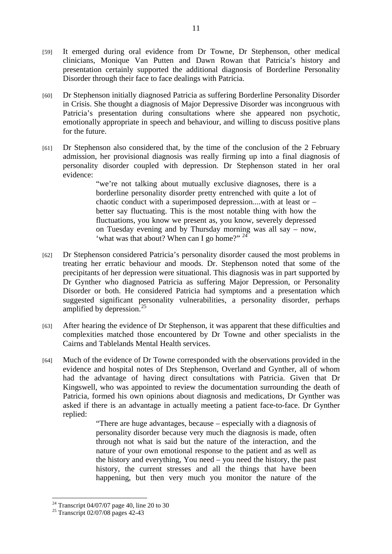- [59] It emerged during oral evidence from Dr Towne, Dr Stephenson, other medical clinicians, Monique Van Putten and Dawn Rowan that Patricia's history and presentation certainly supported the additional diagnosis of Borderline Personality Disorder through their face to face dealings with Patricia.
- [60] Dr Stephenson initially diagnosed Patricia as suffering Borderline Personality Disorder in Crisis. She thought a diagnosis of Major Depressive Disorder was incongruous with Patricia's presentation during consultations where she appeared non psychotic, emotionally appropriate in speech and behaviour, and willing to discuss positive plans for the future.
- [61] Dr Stephenson also considered that, by the time of the conclusion of the 2 February admission, her provisional diagnosis was really firming up into a final diagnosis of personality disorder coupled with depression. Dr Stephenson stated in her oral evidence:

"we're not talking about mutually exclusive diagnoses, there is a borderline personality disorder pretty entrenched with quite a lot of chaotic conduct with a superimposed depression....with at least or – better say fluctuating. This is the most notable thing with how the fluctuations, you know we present as, you know, severely depressed on Tuesday evening and by Thursday morning was all say – now, 'what was that about? When can I go home?" <sup>[24](#page-10-0)</sup>

- [62] Dr Stephenson considered Patricia's personality disorder caused the most problems in treating her erratic behaviour and moods. Dr. Stephenson noted that some of the precipitants of her depression were situational. This diagnosis was in part supported by Dr Gynther who diagnosed Patricia as suffering Major Depression, or Personality Disorder or both. He considered Patricia had symptoms and a presentation which suggested significant personality vulnerabilities, a personality disorder, perhaps amplified by depression.<sup>[25](#page-10-1)</sup>
- [63] After hearing the evidence of Dr Stephenson, it was apparent that these difficulties and complexities matched those encountered by Dr Towne and other specialists in the Cairns and Tablelands Mental Health services.
- [64] Much of the evidence of Dr Towne corresponded with the observations provided in the evidence and hospital notes of Drs Stephenson, Overland and Gynther, all of whom had the advantage of having direct consultations with Patricia. Given that Dr Kingswell, who was appointed to review the documentation surrounding the death of Patricia, formed his own opinions about diagnosis and medications, Dr Gynther was asked if there is an advantage in actually meeting a patient face-to-face. Dr Gynther replied:

"There are huge advantages, because – especially with a diagnosis of personality disorder because very much the diagnosis is made, often through not what is said but the nature of the interaction, and the nature of your own emotional response to the patient and as well as the history and everything, You need – you need the history, the past history, the current stresses and all the things that have been happening, but then very much you monitor the nature of the

<span id="page-10-0"></span><sup>&</sup>lt;sup>24</sup> Transcript 04/07/07 page 40, line 20 to 30

<span id="page-10-1"></span><sup>&</sup>lt;sup>25</sup> Transcript 02/07/08 pages  $42-43$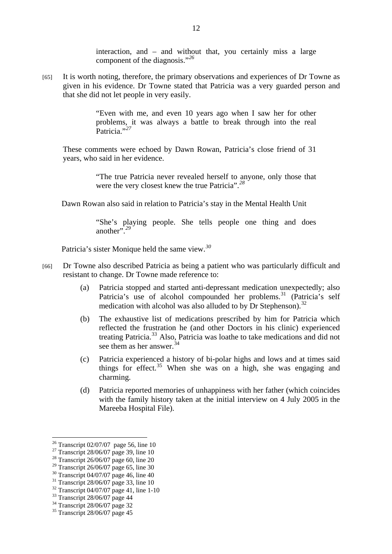interaction, and – and without that, you certainly miss a large component of the diagnosis."*[26](#page-11-0)*

[65] It is worth noting, therefore, the primary observations and experiences of Dr Towne as given in his evidence. Dr Towne stated that Patricia was a very guarded person and that she did not let people in very easily.

> "Even with me, and even 10 years ago when I saw her for other problems, it was always a battle to break through into the real Patricia."*[27](#page-11-1)*

These comments were echoed by Dawn Rowan, Patricia's close friend of 31 years, who said in her evidence.

> "The true Patricia never revealed herself to anyone, only those that were the very closest knew the true Patricia".*[28](#page-11-2)*

Dawn Rowan also said in relation to Patricia's stay in the Mental Health Unit

"She's playing people. She tells people one thing and does another".*[29](#page-11-3)*

Patricia's sister Monique held the same view.*[30](#page-11-4)*

- [66] Dr Towne also described Patricia as being a patient who was particularly difficult and resistant to change. Dr Towne made reference to:
	- (a) Patricia stopped and started anti-depressant medication unexpectedly; also Patricia's use of alcohol compounded her problems.<sup>[31](#page-11-5)</sup> (Patricia's self medication with alcohol was also alluded to by Dr Stephenson).<sup>[32](#page-11-6)</sup>
	- (b) The exhaustive list of medications prescribed by him for Patricia which reflected the frustration he (and other Doctors in his clinic) experienced treating Patricia.[33](#page-11-7) Also, Patricia was loathe to take medications and did not see them as her answer.<sup>[34](#page-11-8)</sup>
	- (c) Patricia experienced a history of bi-polar highs and lows and at times said things for effect.<sup>[35](#page-11-9)</sup> When she was on a high, she was engaging and charming.
	- (d) Patricia reported memories of unhappiness with her father (which coincides with the family history taken at the initial interview on 4 July 2005 in the Mareeba Hospital File).

<sup>&</sup>lt;sup>26</sup> Transcript 02/07/07 page 56, line 10

<span id="page-11-1"></span><span id="page-11-0"></span><sup>&</sup>lt;sup>27</sup> Transcript 28/06/07 page 39, line 10

<span id="page-11-2"></span><sup>28</sup> Transcript 26/06/07 page 60, line 20

<span id="page-11-3"></span><sup>29</sup> Transcript 26/06/07 page 65, line 30

<span id="page-11-4"></span><sup>30</sup> Transcript 04/07/07 page 46, line 40

<span id="page-11-5"></span><sup>31</sup> Transcript 28/06/07 page 33, line 10

<span id="page-11-6"></span><sup>32</sup> Transcript 04/07/07 page 41, line 1-10

<span id="page-11-7"></span> $33$  Transcript 28/06/07 page 44

<span id="page-11-8"></span><sup>34</sup> Transcript 28/06/07 page 32

<span id="page-11-9"></span> $35$  Transcript 28/06/07 page 45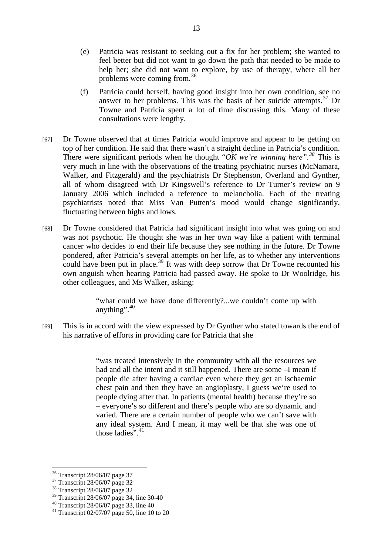- (e) Patricia was resistant to seeking out a fix for her problem; she wanted to feel better but did not want to go down the path that needed to be made to help her; she did not want to explore, by use of therapy, where all her problems were coming from.[36](#page-12-0)
- (f) Patricia could herself, having good insight into her own condition, see no answer to her problems. This was the basis of her suicide attempts.<sup>[37](#page-12-1)</sup> Dr Towne and Patricia spent a lot of time discussing this. Many of these consultations were lengthy.
- [67] Dr Towne observed that at times Patricia would improve and appear to be getting on top of her condition. He said that there wasn't a straight decline in Patricia's condition. There were significant periods when he thought " $\overrightarrow{OK}$  we're winning here".<sup>[38](#page-12-2)</sup> This is very much in line with the observations of the treating psychiatric nurses (McNamara, Walker, and Fitzgerald) and the psychiatrists Dr Stephenson, Overland and Gynther, all of whom disagreed with Dr Kingswell's reference to Dr Turner's review on 9 January 2006 which included a reference to melancholia. Each of the treating psychiatrists noted that Miss Van Putten's mood would change significantly, fluctuating between highs and lows.
- [68] Dr Towne considered that Patricia had significant insight into what was going on and was not psychotic. He thought she was in her own way like a patient with terminal cancer who decides to end their life because they see nothing in the future. Dr Towne pondered, after Patricia's several attempts on her life, as to whether any interventions could have been put in place.<sup>[39](#page-12-3)</sup> It was with deep sorrow that Dr Towne recounted his own anguish when hearing Patricia had passed away. He spoke to Dr Woolridge, his other colleagues, and Ms Walker, asking:

"what could we have done differently?...we couldn't come up with anything". $40$ 

[69] This is in accord with the view expressed by Dr Gynther who stated towards the end of his narrative of efforts in providing care for Patricia that she

> "was treated intensively in the community with all the resources we had and all the intent and it still happened. There are some –I mean if people die after having a cardiac even where they get an ischaemic chest pain and then they have an angioplasty, I guess we're used to people dying after that. In patients (mental health) because they're so – everyone's so different and there's people who are so dynamic and varied. There are a certain number of people who we can't save with any ideal system. And I mean, it may well be that she was one of those ladies".  $41$

<sup>36</sup> Transcript 28/06/07 page 37

<span id="page-12-1"></span><span id="page-12-0"></span><sup>&</sup>lt;sup>37</sup> Transcript 28/06/07 page 32

<span id="page-12-2"></span><sup>38</sup> Transcript 28/06/07 page 32

<span id="page-12-3"></span><sup>39</sup> Transcript 28/06/07 page 34, line 30-40

<sup>40</sup> Transcript 28/06/07 page 33, line 40

<span id="page-12-5"></span><span id="page-12-4"></span><sup>&</sup>lt;sup>41</sup> Transcript 02/07/07 page 50, line 10 to 20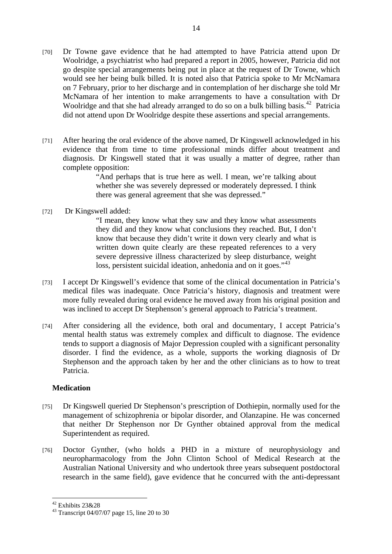- <span id="page-13-0"></span>[70] Dr Towne gave evidence that he had attempted to have Patricia attend upon Dr Woolridge, a psychiatrist who had prepared a report in 2005, however, Patricia did not go despite special arrangements being put in place at the request of Dr Towne, which would see her being bulk billed. It is noted also that Patricia spoke to Mr McNamara on 7 February, prior to her discharge and in contemplation of her discharge she told Mr McNamara of her intention to make arrangements to have a consultation with Dr Woolridge and that she had already arranged to do so on a bulk billing basis.<sup>[42](#page-13-1)</sup> Patricia did not attend upon Dr Woolridge despite these assertions and special arrangements.
- [71] After hearing the oral evidence of the above named, Dr Kingswell acknowledged in his evidence that from time to time professional minds differ about treatment and diagnosis. Dr Kingswell stated that it was usually a matter of degree, rather than complete opposition:

"And perhaps that is true here as well. I mean, we're talking about whether she was severely depressed or moderately depressed. I think there was general agreement that she was depressed."

#### [72] Dr Kingswell added:

"I mean, they know what they saw and they know what assessments they did and they know what conclusions they reached. But, I don't know that because they didn't write it down very clearly and what is written down quite clearly are these repeated references to a very severe depressive illness characterized by sleep disturbance, weight loss, persistent suicidal ideation, anhedonia and on it goes."<sup>[43](#page-13-2)</sup>

- [73] I accept Dr Kingswell's evidence that some of the clinical documentation in Patricia's medical files was inadequate. Once Patricia's history, diagnosis and treatment were more fully revealed during oral evidence he moved away from his original position and was inclined to accept Dr Stephenson's general approach to Patricia's treatment.
- [74] After considering all the evidence, both oral and documentary, I accept Patricia's mental health status was extremely complex and difficult to diagnose. The evidence tends to support a diagnosis of Major Depression coupled with a significant personality disorder. I find the evidence, as a whole, supports the working diagnosis of Dr Stephenson and the approach taken by her and the other clinicians as to how to treat Patricia.

## **Medication**

- [75] Dr Kingswell queried Dr Stephenson's prescription of Dothiepin, normally used for the management of schizophrenia or bipolar disorder, and Olanzapine. He was concerned that neither Dr Stephenson nor Dr Gynther obtained approval from the medical Superintendent as required.
- [76] Doctor Gynther, (who holds a PHD in a mixture of neurophysiology and neuropharmacology from the John Clinton School of Medical Research at the Australian National University and who undertook three years subsequent postdoctoral research in the same field), gave evidence that he concurred with the anti-depressant

<span id="page-13-1"></span><sup>42</sup> Exhibits 23&28

<span id="page-13-2"></span><sup>43</sup> Transcript 04/07/07 page 15, line 20 to 30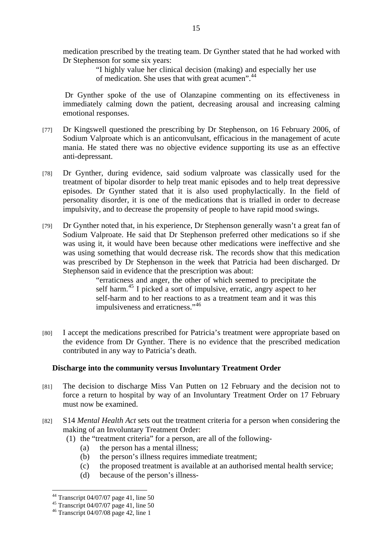<span id="page-14-0"></span>medication prescribed by the treating team. Dr Gynther stated that he had worked with Dr Stephenson for some six years:

> "I highly value her clinical decision (making) and especially her use of medication. She uses that with great acumen".[44](#page-14-1)

Dr Gynther spoke of the use of Olanzapine commenting on its effectiveness in immediately calming down the patient, decreasing arousal and increasing calming emotional responses.

- [77] Dr Kingswell questioned the prescribing by Dr Stephenson, on 16 February 2006, of Sodium Valproate which is an anticonvulsant, efficacious in the management of acute mania. He stated there was no objective evidence supporting its use as an effective anti-depressant.
- [78] Dr Gynther, during evidence, said sodium valproate was classically used for the treatment of bipolar disorder to help treat manic episodes and to help treat depressive episodes. Dr Gynther stated that it is also used prophylactically. In the field of personality disorder, it is one of the medications that is trialled in order to decrease impulsivity, and to decrease the propensity of people to have rapid mood swings.
- [79] Dr Gynther noted that, in his experience, Dr Stephenson generally wasn't a great fan of Sodium Valproate. He said that Dr Stephenson preferred other medications so if she was using it, it would have been because other medications were ineffective and she was using something that would decrease risk. The records show that this medication was prescribed by Dr Stephenson in the week that Patricia had been discharged. Dr Stephenson said in evidence that the prescription was about:

"erraticness and anger, the other of which seemed to precipitate the self harm.<sup>[45](#page-14-2)</sup> I picked a sort of impulsive, erratic, angry aspect to her self-harm and to her reactions to as a treatment team and it was this impulsiveness and erraticness."<sup>[46](#page-14-3)</sup>

[80] I accept the medications prescribed for Patricia's treatment were appropriate based on the evidence from Dr Gynther. There is no evidence that the prescribed medication contributed in any way to Patricia's death.

#### **Discharge into the community versus Involuntary Treatment Order**

- [81] The decision to discharge Miss Van Putten on 12 February and the decision not to force a return to hospital by way of an Involuntary Treatment Order on 17 February must now be examined.
- [82] S14 *Mental Health Act* sets out the treatment criteria for a person when considering the making of an Involuntary Treatment Order:
	- (1) the "treatment criteria" for a person, are all of the following-
		- (a) the person has a mental illness;
		- (b) the person's illness requires immediate treatment;
		- (c) the proposed treatment is available at an authorised mental health service;
		- (d) because of the person's illness-

<span id="page-14-1"></span> $\overline{a}$  $44$  Transcript 04/07/07 page 41, line 50

 $45$  Transcript 04/07/07 page 41, line 50

<span id="page-14-3"></span><span id="page-14-2"></span> $46$  Transcript 04/07/08 page 42, line 1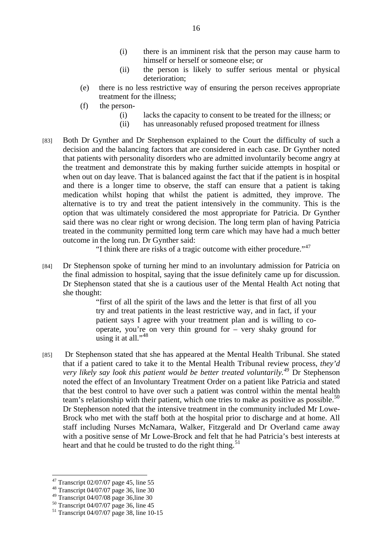- (i) there is an imminent risk that the person may cause harm to himself or herself or someone else; or
- (ii) the person is likely to suffer serious mental or physical deterioration;
- (e) there is no less restrictive way of ensuring the person receives appropriate treatment for the illness;
- (f) the person-
	- (i) lacks the capacity to consent to be treated for the illness; or
	- (ii) has unreasonably refused proposed treatment for illness
- [83] Both Dr Gynther and Dr Stephenson explained to the Court the difficulty of such a decision and the balancing factors that are considered in each case. Dr Gynther noted that patients with personality disorders who are admitted involuntarily become angry at the treatment and demonstrate this by making further suicide attempts in hospital or when out on day leave. That is balanced against the fact that if the patient is in hospital and there is a longer time to observe, the staff can ensure that a patient is taking medication whilst hoping that whilst the patient is admitted, they improve. The alternative is to try and treat the patient intensively in the community. This is the option that was ultimately considered the most appropriate for Patricia. Dr Gynther said there was no clear right or wrong decision. The long term plan of having Patricia treated in the community permitted long term care which may have had a much better outcome in the long run. Dr Gynther said:

"I think there are risks of a tragic outcome with either procedure."[47](#page-15-0)

[84] Dr Stephenson spoke of turning her mind to an involuntary admission for Patricia on the final admission to hospital, saying that the issue definitely came up for discussion. Dr Stephenson stated that she is a cautious user of the Mental Health Act noting that she thought:

> "first of all the spirit of the laws and the letter is that first of all you try and treat patients in the least restrictive way, and in fact, if your patient says I agree with your treatment plan and is willing to cooperate, you're on very thin ground for  $-$  very shaky ground for using it at all." $48$

[85] Dr Stephenson stated that she has appeared at the Mental Health Tribunal. She stated that if a patient cared to take it to the Mental Health Tribunal review process, *they'd very likely say look this patient would be better treated voluntarily.[49](#page-15-2)* Dr Stephenson noted the effect of an Involuntary Treatment Order on a patient like Patricia and stated that the best control to have over such a patient was control within the mental health team's relationship with their patient, which one tries to make as positive as possible.<sup>[50](#page-15-3)</sup> Dr Stephenson noted that the intensive treatment in the community included Mr Lowe-Brock who met with the staff both at the hospital prior to discharge and at home. All staff including Nurses McNamara, Walker, Fitzgerald and Dr Overland came away with a positive sense of Mr Lowe-Brock and felt that he had Patricia's best interests at heart and that he could be trusted to do the right thing.<sup>[51](#page-15-4)</sup>

 $47$  Transcript 02/07/07 page 45, line 55

<span id="page-15-1"></span><span id="page-15-0"></span><sup>48</sup> Transcript 04/07/07 page 36, line 30

<span id="page-15-2"></span><sup>49</sup> Transcript 04/07/08 page 36,line 30

<span id="page-15-3"></span><sup>50</sup> Transcript 04/07/07 page 36, line 45

<span id="page-15-4"></span> $51$  Transcript 04/07/07 page 38, line 10-15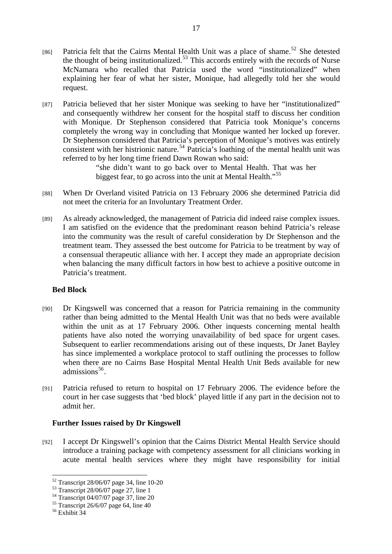- <span id="page-16-0"></span>[86] Patricia felt that the Cairns Mental Health Unit was a place of shame.<sup>[52](#page-16-1)</sup> She detested the thought of being institutionalized.<sup>[53](#page-16-2)</sup> This accords entirely with the records of Nurse McNamara who recalled that Patricia used the word "institutionalized" when explaining her fear of what her sister, Monique, had allegedly told her she would request.
- [87] Patricia believed that her sister Monique was seeking to have her "institutionalized" and consequently withdrew her consent for the hospital staff to discuss her condition with Monique. Dr Stephenson considered that Patricia took Monique's concerns completely the wrong way in concluding that Monique wanted her locked up forever. Dr Stephenson considered that Patricia's perception of Monique's motives was entirely consistent with her histrionic nature.<sup>[54](#page-16-3)</sup> Patricia's loathing of the mental health unit was referred to by her long time friend Dawn Rowan who said:

"she didn't want to go back over to Mental Health. That was her biggest fear, to go across into the unit at Mental Health."<sup>[55](#page-16-4)</sup>

- [88] When Dr Overland visited Patricia on 13 February 2006 she determined Patricia did not meet the criteria for an Involuntary Treatment Order.
- [89] As already acknowledged, the management of Patricia did indeed raise complex issues. I am satisfied on the evidence that the predominant reason behind Patricia's release into the community was the result of careful consideration by Dr Stephenson and the treatment team. They assessed the best outcome for Patricia to be treatment by way of a consensual therapeutic alliance with her. I accept they made an appropriate decision when balancing the many difficult factors in how best to achieve a positive outcome in Patricia's treatment.

#### **Bed Block**

- [90] Dr Kingswell was concerned that a reason for Patricia remaining in the community rather than being admitted to the Mental Health Unit was that no beds were available within the unit as at 17 February 2006. Other inquests concerning mental health patients have also noted the worrying unavailability of bed space for urgent cases. Subsequent to earlier recommendations arising out of these inquests, Dr Janet Bayley has since implemented a workplace protocol to staff outlining the processes to follow when there are no Cairns Base Hospital Mental Health Unit Beds available for new admissions $56$ .
- [91] Patricia refused to return to hospital on 17 February 2006. The evidence before the court in her case suggests that 'bed block' played little if any part in the decision not to admit her.

#### **Further Issues raised by Dr Kingswell**

[92] I accept Dr Kingswell's opinion that the Cairns District Mental Health Service should introduce a training package with competency assessment for all clinicians working in acute mental health services where they might have responsibility for initial

<sup>52</sup> Transcript 28/06/07 page 34, line 10-20

<span id="page-16-2"></span><span id="page-16-1"></span> $53$  Transcript 28/06/07 page 27, line 1

<span id="page-16-3"></span><sup>54</sup> Transcript 04/07/07 page 37, line 20

 $55$  Transcript 26/6/07 page 64, line 40

<span id="page-16-5"></span><span id="page-16-4"></span><sup>56</sup> Exhibit 34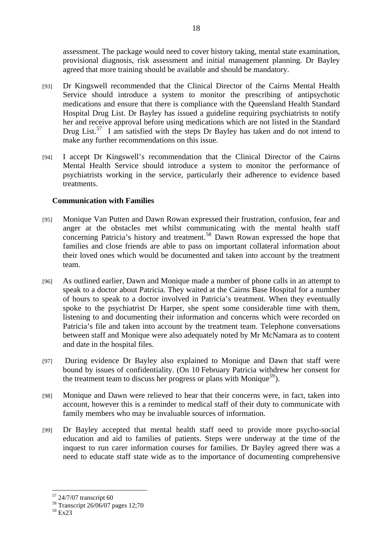<span id="page-17-0"></span>assessment. The package would need to cover history taking, mental state examination, provisional diagnosis, risk assessment and initial management planning. Dr Bayley agreed that more training should be available and should be mandatory.

- [93] Dr Kingswell recommended that the Clinical Director of the Cairns Mental Health Service should introduce a system to monitor the prescribing of antipsychotic medications and ensure that there is compliance with the Queensland Health Standard Hospital Drug List. Dr Bayley has issued a guideline requiring psychiatrists to notify her and receive approval before using medications which are not listed in the Standard Drug List.<sup>[57](#page-17-1)</sup> I am satisfied with the steps Dr Bayley has taken and do not intend to make any further recommendations on this issue.
- [94] I accept Dr Kingswell's recommendation that the Clinical Director of the Cairns Mental Health Service should introduce a system to monitor the performance of psychiatrists working in the service, particularly their adherence to evidence based treatments.

## **Communication with Families**

- [95] Monique Van Putten and Dawn Rowan expressed their frustration, confusion, fear and anger at the obstacles met whilst communicating with the mental health staff concerning Patricia's history and treatment.<sup>[58](#page-17-2)</sup> Dawn Rowan expressed the hope that families and close friends are able to pass on important collateral information about their loved ones which would be documented and taken into account by the treatment team.
- [96] As outlined earlier, Dawn and Monique made a number of phone calls in an attempt to speak to a doctor about Patricia. They waited at the Cairns Base Hospital for a number of hours to speak to a doctor involved in Patricia's treatment. When they eventually spoke to the psychiatrist Dr Harper, she spent some considerable time with them, listening to and documenting their information and concerns which were recorded on Patricia's file and taken into account by the treatment team. Telephone conversations between staff and Monique were also adequately noted by Mr McNamara as to content and date in the hospital files.
- [97] During evidence Dr Bayley also explained to Monique and Dawn that staff were bound by issues of confidentiality. (On 10 February Patricia withdrew her consent for the treatment team to discuss her progress or plans with Monique<sup>[59](#page-17-3)</sup>).
- [98] Monique and Dawn were relieved to hear that their concerns were, in fact, taken into account, however this is a reminder to medical staff of their duty to communicate with family members who may be invaluable sources of information.
- [99] Dr Bayley accepted that mental health staff need to provide more psycho-social education and aid to families of patients. Steps were underway at the time of the inquest to run carer information courses for families. Dr Bayley agreed there was a need to educate staff state wide as to the importance of documenting comprehensive

<span id="page-17-1"></span><sup>&</sup>lt;sup>57</sup> 24/7/07 transcript 60

<span id="page-17-3"></span><span id="page-17-2"></span><sup>58</sup> Transcript 26/06/07 pages 12;70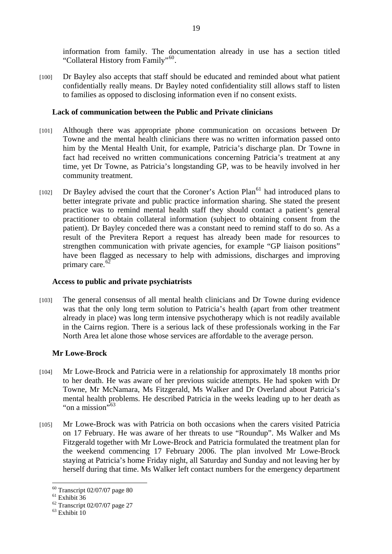<span id="page-18-0"></span>information from family. The documentation already in use has a section titled "Collateral History from Family"<sup>[60](#page-18-1)</sup>.

[100] Dr Bayley also accepts that staff should be educated and reminded about what patient confidentially really means. Dr Bayley noted confidentiality still allows staff to listen to families as opposed to disclosing information even if no consent exists.

### **Lack of communication between the Public and Private clinicians**

- [101] Although there was appropriate phone communication on occasions between Dr Towne and the mental health clinicians there was no written information passed onto him by the Mental Health Unit, for example, Patricia's discharge plan. Dr Towne in fact had received no written communications concerning Patricia's treatment at any time, yet Dr Towne, as Patricia's longstanding GP, was to be heavily involved in her community treatment.
- $[102]$  Dr Bayley advised the court that the Coroner's Action Plan<sup>[61](#page-18-2)</sup> had introduced plans to better integrate private and public practice information sharing. She stated the present practice was to remind mental health staff they should contact a patient's general practitioner to obtain collateral information (subject to obtaining consent from the patient). Dr Bayley conceded there was a constant need to remind staff to do so. As a result of the Previtera Report a request has already been made for resources to strengthen communication with private agencies, for example "GP liaison positions" have been flagged as necessary to help with admissions, discharges and improving primary care.<sup>[62](#page-18-3)</sup>

### **Access to public and private psychiatrists**

[103] The general consensus of all mental health clinicians and Dr Towne during evidence was that the only long term solution to Patricia's health (apart from other treatment already in place) was long term intensive psychotherapy which is not readily available in the Cairns region. There is a serious lack of these professionals working in the Far North Area let alone those whose services are affordable to the average person.

## **Mr Lowe-Brock**

- [104] Mr Lowe-Brock and Patricia were in a relationship for approximately 18 months prior to her death. He was aware of her previous suicide attempts. He had spoken with Dr Towne, Mr McNamara, Ms Fitzgerald, Ms Walker and Dr Overland about Patricia's mental health problems. He described Patricia in the weeks leading up to her death as "on a mission"<sup>5[63](#page-18-4)</sup>
- [105] Mr Lowe-Brock was with Patricia on both occasions when the carers visited Patricia on 17 February. He was aware of her threats to use "Roundup". Ms Walker and Ms Fitzgerald together with Mr Lowe-Brock and Patricia formulated the treatment plan for the weekend commencing 17 February 2006. The plan involved Mr Lowe-Brock staying at Patricia's home Friday night, all Saturday and Sunday and not leaving her by herself during that time. Ms Walker left contact numbers for the emergency department

 $\overline{a}$  $60$  Transcript 02/07/07 page 80

<span id="page-18-2"></span><span id="page-18-1"></span> $61$  Exhibit  $36$ 

<span id="page-18-3"></span> $62$  Transcript 02/07/07 page 27

<span id="page-18-4"></span> $63$  Exhibit  $10$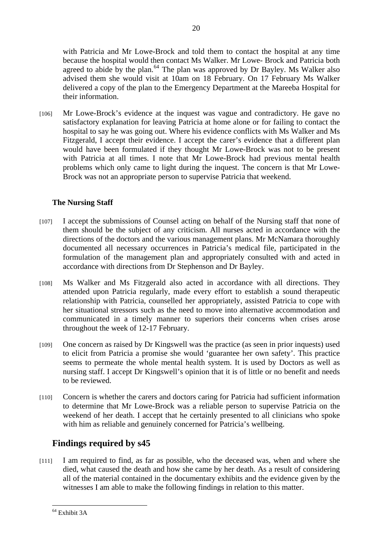<span id="page-19-0"></span>with Patricia and Mr Lowe-Brock and told them to contact the hospital at any time because the hospital would then contact Ms Walker. Mr Lowe- Brock and Patricia both agreed to abide by the plan.<sup>64</sup> The plan was approved by Dr Bayley. Ms Walker also advised them she would visit at 10am on 18 February. On 17 February Ms Walker delivered a copy of the plan to the Emergency Department at the Mareeba Hospital for their information.

20

[106] Mr Lowe-Brock's evidence at the inquest was vague and contradictory. He gave no satisfactory explanation for leaving Patricia at home alone or for failing to contact the hospital to say he was going out. Where his evidence conflicts with Ms Walker and Ms Fitzgerald, I accept their evidence. I accept the carer's evidence that a different plan would have been formulated if they thought Mr Lowe-Brock was not to be present with Patricia at all times. I note that Mr Lowe-Brock had previous mental health problems which only came to light during the inquest. The concern is that Mr Lowe-Brock was not an appropriate person to supervise Patricia that weekend.

## **The Nursing Staff**

- [107] I accept the submissions of Counsel acting on behalf of the Nursing staff that none of them should be the subject of any criticism. All nurses acted in accordance with the directions of the doctors and the various management plans. Mr McNamara thoroughly documented all necessary occurrences in Patricia's medical file, participated in the formulation of the management plan and appropriately consulted with and acted in accordance with directions from Dr Stephenson and Dr Bayley.
- [108] Ms Walker and Ms Fitzgerald also acted in accordance with all directions. They attended upon Patricia regularly, made every effort to establish a sound therapeutic relationship with Patricia, counselled her appropriately, assisted Patricia to cope with her situational stressors such as the need to move into alternative accommodation and communicated in a timely manner to superiors their concerns when crises arose throughout the week of 12-17 February.
- [109] One concern as raised by Dr Kingswell was the practice (as seen in prior inquests) used to elicit from Patricia a promise she would 'guarantee her own safety'. This practice seems to permeate the whole mental health system. It is used by Doctors as well as nursing staff. I accept Dr Kingswell's opinion that it is of little or no benefit and needs to be reviewed.
- [110] Concern is whether the carers and doctors caring for Patricia had sufficient information to determine that Mr Lowe-Brock was a reliable person to supervise Patricia on the weekend of her death. I accept that he certainly presented to all clinicians who spoke with him as reliable and genuinely concerned for Patricia's wellbeing.

# **Findings required by s45**

[111] I am required to find, as far as possible, who the deceased was, when and where she died, what caused the death and how she came by her death. As a result of considering all of the material contained in the documentary exhibits and the evidence given by the witnesses I am able to make the following findings in relation to this matter.

<span id="page-19-1"></span> $\overline{a}$ 64 Exhibit 3A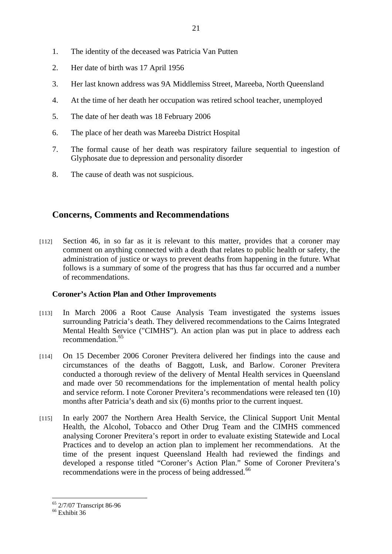- <span id="page-20-0"></span>1. The identity of the deceased was Patricia Van Putten
- 2. Her date of birth was 17 April 1956
- 3. Her last known address was 9A Middlemiss Street, Mareeba, North Queensland
- 4. At the time of her death her occupation was retired school teacher, unemployed
- 5. The date of her death was 18 February 2006
- 6. The place of her death was Mareeba District Hospital
- 7. The formal cause of her death was respiratory failure sequential to ingestion of Glyphosate due to depression and personality disorder
- 8. The cause of death was not suspicious.

# **Concerns, Comments and Recommendations**

[112] Section 46, in so far as it is relevant to this matter, provides that a coroner may comment on anything connected with a death that relates to public health or safety, the administration of justice or ways to prevent deaths from happening in the future. What follows is a summary of some of the progress that has thus far occurred and a number of recommendations.

# **Coroner's Action Plan and Other Improvements**

- [113] In March 2006 a Root Cause Analysis Team investigated the systems issues surrounding Patricia's death. They delivered recommendations to the Cairns Integrated Mental Health Service ("CIMHS"). An action plan was put in place to address each recommendation.<sup>[65](#page-20-1)</sup>
- [114] On 15 December 2006 Coroner Previtera delivered her findings into the cause and circumstances of the deaths of Baggott, Lusk, and Barlow. Coroner Previtera conducted a thorough review of the delivery of Mental Health services in Queensland and made over 50 recommendations for the implementation of mental health policy and service reform. I note Coroner Previtera's recommendations were released ten (10) months after Patricia's death and six (6) months prior to the current inquest.
- [115] In early 2007 the Northern Area Health Service, the Clinical Support Unit Mental Health, the Alcohol, Tobacco and Other Drug Team and the CIMHS commenced analysing Coroner Previtera's report in order to evaluate existing Statewide and Local Practices and to develop an action plan to implement her recommendations. At the time of the present inquest Queensland Health had reviewed the findings and developed a response titled "Coroner's Action Plan." Some of Coroner Previtera's recommendations were in the process of being addressed.<sup>[66](#page-20-2)</sup>

<span id="page-20-1"></span><sup>65 2/7/07</sup> Transcript 86-96

<span id="page-20-2"></span> $66$  Exhibit 36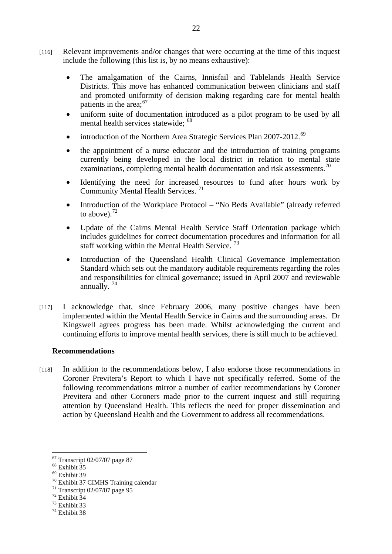- <span id="page-21-0"></span>[116] Relevant improvements and/or changes that were occurring at the time of this inquest include the following (this list is, by no means exhaustive):
	- The amalgamation of the Cairns, Innisfail and Tablelands Health Service Districts. This move has enhanced communication between clinicians and staff and promoted uniformity of decision making regarding care for mental health patients in the area;<sup>[67](#page-21-1)</sup>
	- uniform suite of documentation introduced as a pilot program to be used by all mental health services statewide; <sup>[68](#page-21-2)</sup>
	- introduction of the Northern Area Strategic Services Plan 2007-2012.<sup>[69](#page-21-3)</sup>
	- the appointment of a nurse educator and the introduction of training programs currently being developed in the local district in relation to mental state examinations, completing mental health documentation and risk assessments.<sup>[70](#page-21-4)</sup>
	- Identifying the need for increased resources to fund after hours work by Community Mental Health Services. [71](#page-21-5)
	- Introduction of the Workplace Protocol "No Beds Available" (already referred to above). $^{72}$  $^{72}$  $^{72}$
	- Update of the Cairns Mental Health Service Staff Orientation package which includes guidelines for correct documentation procedures and information for all staff working within the Mental Health Service.  $^{73}$  $^{73}$  $^{73}$
	- Introduction of the Queensland Health Clinical Governance Implementation Standard which sets out the mandatory auditable requirements regarding the roles and responsibilities for clinical governance; issued in April 2007 and reviewable annually.  $74$
- [117] I acknowledge that, since February 2006, many positive changes have been implemented within the Mental Health Service in Cairns and the surrounding areas. Dr Kingswell agrees progress has been made. Whilst acknowledging the current and continuing efforts to improve mental health services, there is still much to be achieved.

#### **Recommendations**

[118] In addition to the recommendations below, I also endorse those recommendations in Coroner Previtera's Report to which I have not specifically referred. Some of the following recommendations mirror a number of earlier recommendations by Coroner Previtera and other Coroners made prior to the current inquest and still requiring attention by Queensland Health. This reflects the need for proper dissemination and action by Queensland Health and the Government to address all recommendations.

<span id="page-21-1"></span> $67$  Transcript 02/07/07 page 87

<span id="page-21-2"></span><sup>68</sup> Exhibit 35

<span id="page-21-3"></span><sup>69</sup> Exhibit 39

<span id="page-21-4"></span><sup>70</sup> Exhibit 37 CIMHS Training calendar

<span id="page-21-5"></span><sup>71</sup> Transcript 02/07/07 page 95

<sup>72</sup> Exhibit 34

<span id="page-21-7"></span><span id="page-21-6"></span><sup>73</sup> Exhibit 33

<span id="page-21-8"></span><sup>74</sup> Exhibit 38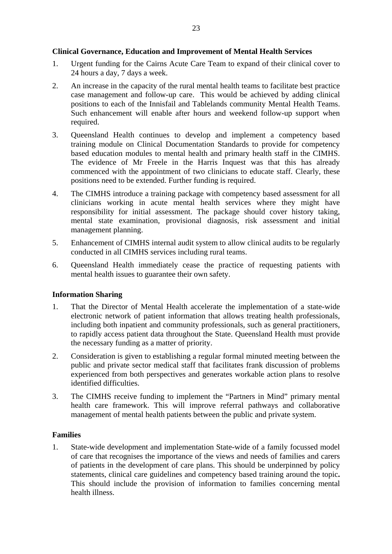#### <span id="page-22-0"></span>**Clinical Governance, Education and Improvement of Mental Health Services**

- 1. Urgent funding for the Cairns Acute Care Team to expand of their clinical cover to 24 hours a day, 7 days a week.
- 2. An increase in the capacity of the rural mental health teams to facilitate best practice case management and follow-up care. This would be achieved by adding clinical positions to each of the Innisfail and Tablelands community Mental Health Teams. Such enhancement will enable after hours and weekend follow-up support when required.
- 3. Queensland Health continues to develop and implement a competency based training module on Clinical Documentation Standards to provide for competency based education modules to mental health and primary health staff in the CIMHS. The evidence of Mr Freele in the Harris Inquest was that this has already commenced with the appointment of two clinicians to educate staff. Clearly, these positions need to be extended. Further funding is required.
- 4. The CIMHS introduce a training package with competency based assessment for all clinicians working in acute mental health services where they might have responsibility for initial assessment. The package should cover history taking, mental state examination, provisional diagnosis, risk assessment and initial management planning.
- 5. Enhancement of CIMHS internal audit system to allow clinical audits to be regularly conducted in all CIMHS services including rural teams.
- 6. Queensland Health immediately cease the practice of requesting patients with mental health issues to guarantee their own safety.

## **Information Sharing**

- 1. That the Director of Mental Health accelerate the implementation of a state-wide electronic network of patient information that allows treating health professionals, including both inpatient and community professionals, such as general practitioners, to rapidly access patient data throughout the State. Queensland Health must provide the necessary funding as a matter of priority.
- 2. Consideration is given to establishing a regular formal minuted meeting between the public and private sector medical staff that facilitates frank discussion of problems experienced from both perspectives and generates workable action plans to resolve identified difficulties.
- 3. The CIMHS receive funding to implement the "Partners in Mind" primary mental health care framework. This will improve referral pathways and collaborative management of mental health patients between the public and private system.

#### **Families**

1. State-wide development and implementation State-wide of a family focussed model of care that recognises the importance of the views and needs of families and carers of patients in the development of care plans. This should be underpinned by policy statements, clinical care guidelines and competency based training around the topic**.**  This should include the provision of information to families concerning mental health illness.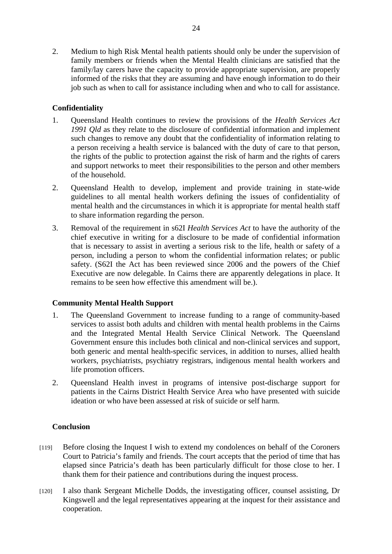<span id="page-23-0"></span>2. Medium to high Risk Mental health patients should only be under the supervision of family members or friends when the Mental Health clinicians are satisfied that the family/lay carers have the capacity to provide appropriate supervision, are properly informed of the risks that they are assuming and have enough information to do their job such as when to call for assistance including when and who to call for assistance.

## **Confidentiality**

- 1. Queensland Health continues to review the provisions of the *Health Services Act 1991 Qld* as they relate to the disclosure of confidential information and implement such changes to remove any doubt that the confidentiality of information relating to a person receiving a health service is balanced with the duty of care to that person, the rights of the public to protection against the risk of harm and the rights of carers and support networks to meet their responsibilities to the person and other members of the household.
- 2. Queensland Health to develop, implement and provide training in state-wide guidelines to all mental health workers defining the issues of confidentiality of mental health and the circumstances in which it is appropriate for mental health staff to share information regarding the person.
- 3. Removal of the requirement in s62I *Health Services Act* to have the authority of the chief executive in writing for a disclosure to be made of confidential information that is necessary to assist in averting a serious risk to the life, health or safety of a person, including a person to whom the confidential information relates; or public safety. (S62I the Act has been reviewed since 2006 and the powers of the Chief Executive are now delegable. In Cairns there are apparently delegations in place. It remains to be seen how effective this amendment will be.).

## **Community Mental Health Support**

- 1. The Queensland Government to increase funding to a range of community-based services to assist both adults and children with mental health problems in the Cairns and the Integrated Mental Health Service Clinical Network. The Queensland Government ensure this includes both clinical and non-clinical services and support, both generic and mental health-specific services, in addition to nurses, allied health workers, psychiatrists, psychiatry registrars, indigenous mental health workers and life promotion officers.
- 2. Queensland Health invest in programs of intensive post-discharge support for patients in the Cairns District Health Service Area who have presented with suicide ideation or who have been assessed at risk of suicide or self harm.

## **Conclusion**

- [119] Before closing the Inquest I wish to extend my condolences on behalf of the Coroners Court to Patricia's family and friends. The court accepts that the period of time that has elapsed since Patricia's death has been particularly difficult for those close to her. I thank them for their patience and contributions during the inquest process.
- [120] I also thank Sergeant Michelle Dodds, the investigating officer, counsel assisting, Dr Kingswell and the legal representatives appearing at the inquest for their assistance and cooperation.